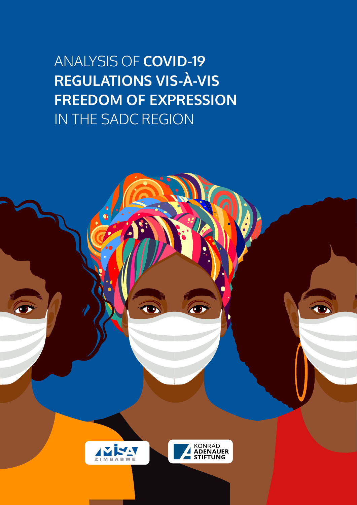ANALYSIS OF **COVID-19 REGULATIONS VIS-À-VIS FREEDOM OF EXPRESSION** IN THE SADC REGION

T



O



O

O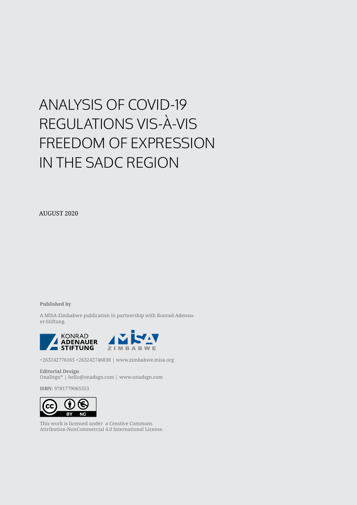# ANALYSIS OF COVID-19 REGULATIONS VIS-À-VIS FREEDOM OF EXPRESSION IN THE SADC REGION

AUGUST 2020

**Published by**

A MISA-Zimbabwe publication in partnership with Konrad-Adenauer-Stiftung.



+263242776165 +263242746838 | www.zimbabwe.misa.org

**Editorial Design** OnaDsgn\* | hello@onadsgn.com | www.onadsgn.com

**ISBN**: 9781779065353



This work is licensed under a Creative Commons Attribution-NonCommercial 4.0 International License.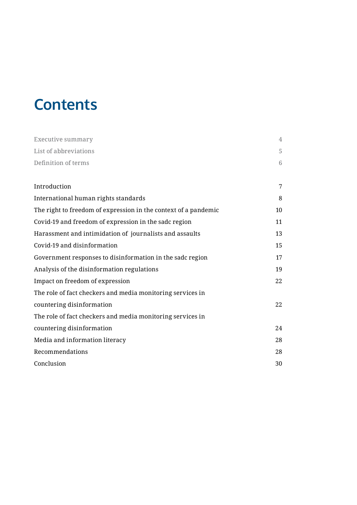# **Contents**

| Executive summary                                               | $\overline{4}$  |
|-----------------------------------------------------------------|-----------------|
| List of abbreviations                                           | 5               |
| Definition of terms                                             | $6\phantom{.}6$ |
|                                                                 |                 |
| Introduction                                                    | 7               |
| International human rights standards                            | 8               |
| The right to freedom of expression in the context of a pandemic | 10              |
| Covid-19 and freedom of expression in the sadc region           | 11              |
| Harassment and intimidation of journalists and assaults         | 13              |
| Covid-19 and disinformation                                     | 15              |
| Government responses to disinformation in the sadc region       | 17              |
| Analysis of the disinformation regulations                      | 19              |
| Impact on freedom of expression                                 | 22              |
| The role of fact checkers and media monitoring services in      |                 |
| countering disinformation                                       | 22              |
| The role of fact checkers and media monitoring services in      |                 |
| countering disinformation                                       | 24              |
| Media and information literacy                                  | 28              |
| Recommendations                                                 | 28              |
| Conclusion                                                      | 30              |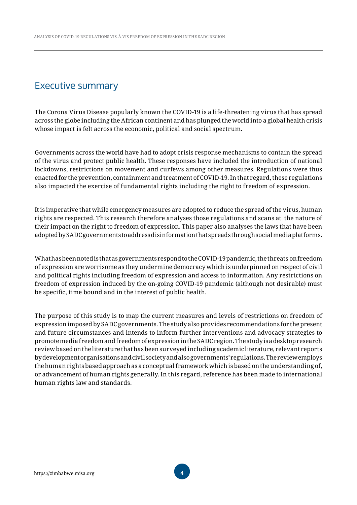## Executive summary

The Corona Virus Disease popularly known the COVID-19 is a life-threatening virus that has spread across the globe including the African continent and has plunged the world into a global health crisis whose impact is felt across the economic, political and social spectrum.

Governments across the world have had to adopt crisis response mechanisms to contain the spread of the virus and protect public health. These responses have included the introduction of national lockdowns, restrictions on movement and curfews among other measures. Regulations were thus enacted for the prevention, containment and treatment of COVID-19. In that regard, these regulations also impacted the exercise of fundamental rights including the right to freedom of expression.

It is imperative that while emergency measures are adopted to reduce the spread of the virus, human rights are respected. This research therefore analyses those regulations and scans at the nature of their impact on the right to freedom of expression. This paper also analyses the laws that have been adopted by SADC governments to address disinformation that spreads through social media platforms.

What has been noted is that as governments respond to the COVID-19 pandemic, the threats on freedom of expression are worrisome as they undermine democracy which is underpinned on respect of civil and political rights including freedom of expression and access to information. Any restrictions on freedom of expression induced by the on-going COVID-19 pandemic (although not desirable) must be specific, time bound and in the interest of public health.

The purpose of this study is to map the current measures and levels of restrictions on freedom of expression imposed by SADC governments. The study also provides recommendations for the present and future circumstances and intends to inform further interventions and advocacy strategies to promote media freedom and freedom of expression in the SADC region. The study is a desktop research review based on the literature that has been surveyed including academic literature, relevant reports by development organisations and civil society and also governments' regulations. The review employs the human rights based approach as a conceptual framework which is based on the understanding of, or advancement of human rights generally. In this regard, reference has been made to international human rights law and standards.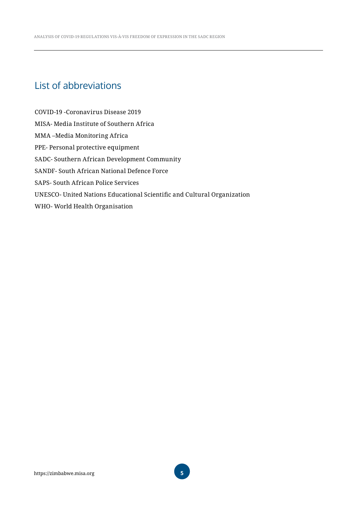# List of abbreviations

COVID-19 -Coronavirus Disease 2019 MISA- Media Institute of Southern Africa MMA –Media Monitoring Africa PPE- Personal protective equipment SADC- Southern African Development Community SANDF- South African National Defence Force SAPS- South African Police Services UNESCO- United Nations Educational Scientific and Cultural Organization WHO- World Health Organisation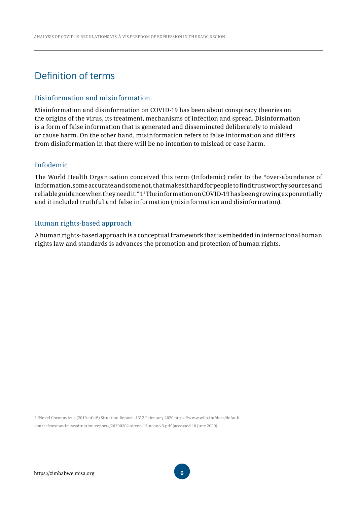# Definition of terms

#### Disinformation and misinformation.

Misinformation and disinformation on COVID-19 has been about conspiracy theories on the origins of the virus, its treatment, mechanisms of infection and spread. Disinformation is a form of false information that is generated and disseminated deliberately to mislead or cause harm. On the other hand, misinformation refers to false information and differs from disinformation in that there will be no intention to mislead or case harm.

#### Infodemic

The World Health Organisation conceived this term (Infodemic) refer to the "over-abundance of information, some accurate and some not, that makes it hard for people to find trustworthy sources and reliable guidance when they need it." 11 The information on COVID-19 has been growing exponentially and it included truthful and false information (misinformation and disinformation).

#### Human rights-based approach

A human rights-based approach is a conceptual framework that is embedded in international human rights law and standards is advances the promotion and protection of human rights.

1 'Novel Coronavirus (2019-nCoV) Situation Report –13' 2 February 2020 https://www.who.int/docs/defaultsource/coronaviruse/situation-reports/20200202-sitrep-13-ncov-v3.pdf (accessed 10 June 2020).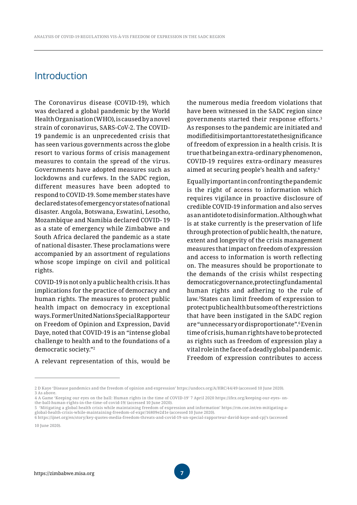# **Introduction**

The Coronavirus disease (COVID-19), which was declared a global pandemic by the World Health Organisation (WHO), is caused by a novel strain of coronavirus, SARS-CoV-2. The COVID-19 pandemic is an unprecedented crisis that has seen various governments across the globe resort to various forms of crisis management measures to contain the spread of the virus. Governments have adopted measures such as lockdowns and curfews. In the SADC region, different measures have been adopted to respond to COVID-19. Some member states have declared states of emergency or states of national disaster. Angola, Botswana, Eswatini, Lesotho, Mozambique and Namibia declared COVID- 19 as a state of emergency while Zimbabwe and South Africa declared the pandemic as a state of national disaster. These proclamations were accompanied by an assortment of regulations whose scope impinge on civil and political rights.

COVID-19 is not only a public health crisis. It has implications for the practice of democracy and human rights. The measures to protect public health impact on democracy in exceptional ways. Former United Nations Special Rapporteur on Freedom of Opinion and Expression, David Daye, noted that COVID-19 is an "intense global challenge to health and to the foundations of a democratic society."2

A relevant representation of this, would be

the numerous media freedom violations that have been witnessed in the SADC region since governments started their response efforts.3 As responses to the pandemic are initiated and modified it is important to restate the significance of freedom of expression in a health crisis. It is true that being an extra-ordinary phenomenon, COVID-19 requires extra-ordinary measures aimed at securing people's health and safety.4

Equally important in confronting the pandemic is the right of access to information which requires vigilance in proactive disclosure of credible COVID-19 information and also serves as an antidote to disinformation. Although what is at stake currently is the preservation of life through protection of public health, the nature, extent and longevity of the crisis management measures that impact on freedom of expression and access to information is worth reflecting on. The measures should be proportionate to the demands of the crisis whilst respecting democratic governance, protecting fundamental human rights and adhering to the rule of law.5States can limit freedom of expression to protect public health but some of the restrictions that have been instigated in the SADC region are "unnecessary or disproportionate".6 Even in time of crisis, human rights have to be protected as rights such as freedom of expression play a vital role in the face of a deadly global pandemic. Freedom of expression contributes to access

global-health-crisis-while-maintaining-freedom-of-expr/16809e2d1e (accessed 10 June 2020).

<sup>2</sup> D Kaye 'Disease pandemics and the freedom of opinion and expression' https://undocs.org/A/HRC/44/49 (accessed 10 June 2020). 3 As above.

<sup>4</sup> A Game 'Keeping our eyes on the ball: Human rights in the time of COVID-19' 7 April 2020 https://ifex.org/keeping-our-eyes- onthe-ball-human-rights-in-the-time-of-covid-19/ (accessed 10 June 2020). 5 'Mitigating a global health crisis while maintaining freedom of expression and information' https://rm.coe.int/en-mitigating-a-

<sup>6</sup> https://ijnet.org/en/story/key-quotes-media-freedom-threats-and-covid-19-un-special-rapporteur-david-kaye-and-cpj's (accessed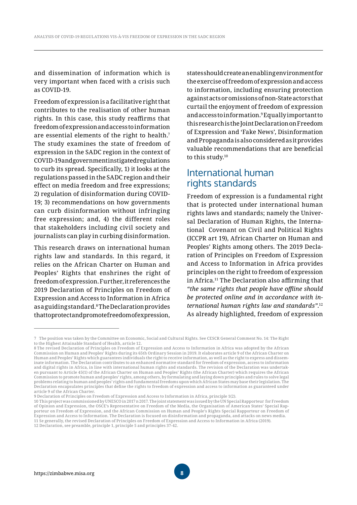and dissemination of information which is very important when faced with a crisis such as COVID-19.

Freedom of expression is a facilitative right that contributes to the realisation of other human rights. In this case, this study reaffirms that freedom of expression and access to information are essential elements of the right to health.7 The study examines the state of freedom of expression in the SADC region in the context of COVID-19 and government instigated regulations to curb its spread. Specifically, 1) it looks at the regulations passed in the SADC region and their effect on media freedom and free expressions; 2) regulation of disinformation during COVID-19; 3) recommendations on how governments can curb disinformation without infringing free expression; and, 4) the different roles that stakeholders including civil society and journalists can play in curbing disinformation.

This research draws on international human rights law and standards. In this regard, it relies on the African Charter on Human and Peoples' Rights that enshrines the right of freedom of expression. Further, it references the 2019 Declaration of Principles on Freedom of Expression and Access to Information in Africa as a guiding standard.8 The Declaration provides that to protect and promote freedom of expression,

states should create an enabling environment for the exercise of freedom of expression and access to information, including ensuring protection against acts or omissions of non-State actors that curtail the enjoyment of freedom of expression and access to information.9 Equally important to this research is the Joint Declaration on Freedom of Expression and 'Fake News', Disinformation and Propaganda is also considered as it provides valuable recommendations that are beneficial to this study.10

# International human rights standards

Freedom of expression is a fundamental right that is protected under international human rights laws and standards; namely the Universal Declaration of Human Rights, the International Covenant on Civil and Political Rights (ICCPR art 19), African Charter on Human and Peoples' Rights among others. The 2019 Declaration of Principles on Freedom of Expression and Access to Information in Africa provides principles on the right to freedom of expression in Africa.11 The Declaration also affirming that *"the same rights that people have offline should be protected online and in accordance with international human rights law and standards"*. 12 As already highlighted, freedom of expression

<sup>7</sup> The position was taken by the Committee on Economic, Social and Cultural Rights. See CESCR General Comment No. 14: The Right to the Highest Attainable Standard of Health, article 12.

<sup>8</sup> The revised Declaration of Principles on Freedom of Expression and Access to Information in Africa was adopted by the African Commission on Human and Peoples' Rights during its 65th Ordinary Session in 2019. It elaborates article 9 of the African Charter on Human and Peoples' Rights which guarantees individuals the right to receive information, as well as the right to express and disseminate information. The Declaration contributes to an enhanced normative standard for freedom of expression, access to information and digital rights in Africa, in line with international human rights and standards. The revision of the Declaration was undertaken pursuant to Article 45(1) of the African Charter on Human and Peoples' Rights (the African Charter) which requires the African Commission to promote human and peoples' rights, among others, by formulating and laying down principles and rules to solve legal problems relating to human and peoples' rights and fundamental freedoms upon which African States may base their legislation. The Declaration encapsulates principles that define the rights to freedom of expression and access to information as guaranteed under article 9 of the African Charter.

<sup>9</sup> Declaration of Principles on Freedom of Expression and Access to Information in Africa, principle 1(2).

<sup>10</sup> This project was commissioned by UNESCO in 2017 n 2017. The joint statement was issued by the UN Special Rapporteur for Freedom of Opinion and Expression, the OSCE's Representative on Freedom of the Media, the Organisation of American States' Special Rapporteur on Freedom of Expression, and the African Commission on Human and People's Rights Special Rapporteur on Freedom of Expression and Access to Information. The Declaration is focused on disinformation and propaganda, and attacks on news media. 11 Se generally, the revised Declaration of Principles on Freedom of Expression and Access to Information in Africa (2019).

<sup>12</sup> Declaration, see preamble, principle 1, principle 5 and principles 37-42.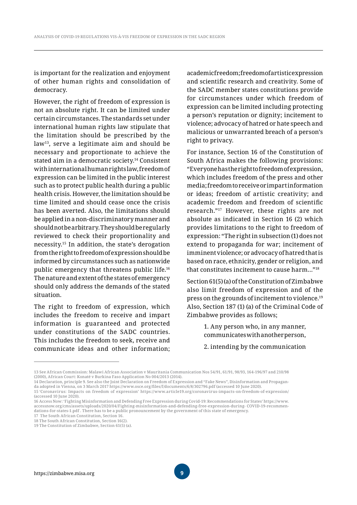is important for the realization and enjoyment of other human rights and consolidation of democracy.

However, the right of freedom of expression is not an absolute right. It can be limited under certain circumstances. The standards set under international human rights law stipulate that the limitation should be prescribed by the law13, serve a legitimate aim and should be necessary and proportionate to achieve the stated aim in a democratic society.14 Consistent with international human rights law, freedom of expression can be limited in the public interest such as to protect public health during a public health crisis. However, the limitation should be time limited and should cease once the crisis has been averted. Also, the limitations should be applied in a non-discriminatory manner and should not be arbitrary. They should be regularly reviewed to check their proportionality and necessity.15 In addition, the state's derogation from the right to freedom of expression should be informed by circumstances such as nationwide public emergency that threatens public life.16 The nature and extent of the states of emergency should only address the demands of the stated situation.

The right to freedom of expression, which includes the freedom to receive and impart information is guaranteed and protected under constitutions of the SADC countries. This includes the freedom to seek, receive and communicate ideas and other information; academic freedom; freedom of artistic expression and scientific research and creativity. Some of the SADC member states constitutions provide for circumstances under which freedom of expression can be limited including protecting a person's reputation or dignity; incitement to violence; advocacy of hatred or hate speech and malicious or unwarranted breach of a person's right to privacy.

For instance, Section 16 of the Constitution of South Africa makes the following provisions: "Everyone has the right to freedom of expression, which includes freedom of the press and other media; freedom to receive or impart information or ideas; freedom of artistic creativity; and academic freedom and freedom of scientific research."17 However, these rights are not absolute as indicated in Section 16 (2) which provides limitations to the right to freedom of expression: "The right in subsection (1) does not extend to propaganda for war; incitement of imminent violence; or advocacy of hatred that is based on race, ethnicity, gender or religion, and that constitutes incitement to cause harm…"18

Section 61(5) (a) of the Constitution of Zimbabwe also limit freedom of expression and of the press on the grounds of incitement to violence.19 Also, Section 187 (1) (a) of the Criminal Code of Zimbabwe provides as follows;

> 1. Any person who, in any manner, communicates with another person,

> 2. intending by the communication

<sup>13</sup> See African Commission: Malawi African Association v Mauritania Communication Nos 54/91, 61/91, 98/93, 164-196/97 and 210/98 (2000), African Court: Konaté v Burkina Faso Application No 004/2013 (2014).

<sup>14</sup> Declaration, principle 9. See also the Joint Declaration on Freedom of Expression and "Fake News", Disinformation and Propaganda adopted in Vienna, on 3 March 2017 https://www.osce.org/files/f/documents/6/8/302796.pdf (accessed 10 June 2020). 15 'Coronavirus: Impacts on freedom of expression' https://www.article19.org/coronavirus-impacts-on-freedom-of-expression/ (accessed 10 June 2020).

<sup>16</sup> Access Now: 'Fighting Misinformation and Defending Free Expression during Covid-19: Recommendations for States' https://www. accessnow.org/cms/assets/uploads/2020/04/Fighting-misinformation-and-defending-free-expression-during- COVID-19-recommendations-for-states-1.pdf . There has to be a public pronouncement by the government of this state of emergency.

<sup>17</sup> The South African Constitution, Section 16.

<sup>18</sup> The South African Constitution, Section 16(2).

<sup>19</sup> The Constitution of Zimbabwe, Section 61(5) (a).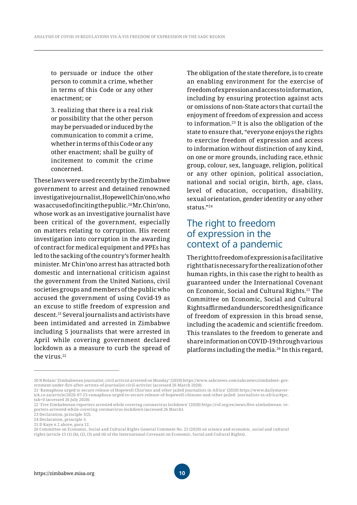to persuade or induce the other person to commit a crime, whether in terms of this Code or any other enactment; or

3. realizing that there is a real risk or possibility that the other person may be persuaded or induced by the communication to commit a crime, whether in terms of this Code or any other enactment; shall be guilty of incitement to commit the crime concerned.

These laws were used recently by the Zimbabwe government to arrest and detained renowned investigative journalist, Hopewell Chin'ono, who was accused of inciting the public.<sup>20</sup> Mr. Chin'ono, whose work as an investigative journalist have been critical of the government, especially on matters relating to corruption. His recent investigation into corruption in the awarding of contract for medical equipment and PPEs has led to the sacking of the country's former health minister. Mr Chin'ono arrest has attracted both domestic and international criticism against the government from the United Nations, civil societies groups and members of the public who accused the government of using Covid-19 as an excuse to stifle freedom of expression and descent.21 Several journalists and activists have been intimidated and arrested in Zimbabwe including 5 journalists that were arrested in April while covering government declared lockdown as a measure to curb the spread of the virus.<sup>22</sup>

The obligation of the state therefore, is to create an enabling environment for the exercise of freedom of expression and access to information, including by ensuring protection against acts or omissions of non-State actors that curtail the enjoyment of freedom of expression and access to information.23 It is also the obligation of the state to ensure that, "everyone enjoys the rights to exercise freedom of expression and access to information without distinction of any kind, on one or more grounds, including race, ethnic group, colour, sex, language, religion, political or any other opinion, political association, national and social origin, birth, age, class, level of education, occupation, disability, sexual orientation, gender identity or any other status."24

# The right to freedom of expression in the context of a pandemic

The right to freedom of expression is a facilitative right that is necessary for the realization of other human rights, in this case the right to health as guaranteed under the International Covenant on Economic, Social and Cultural Rights.25 The Committee on Economic, Social and Cultural Rights affirmed and underscored the significance of freedom of expression in this broad sense, including the academic and scientific freedom. This translates to the freedom to generate and share information on COVID-19 through various platforms including the media.26 In this regard,

<sup>20</sup> N Bolani 'Zimbabwean journalist, civil activist arrested on Monday' (2020) https://www.sabcnews.com/sabcnews/zimbabwe- government-under-fire-after-arrests-of-journalist-civil-activist/ (accessed 26 March 2020).

<sup>21 &#</sup>x27;Ramaphosa urged to secure release of Hopewell Chin'ono and other jailed journalists in Africa' (2020) https://www.dailymaverick.co.za/article/2020-07-23-ramaphosa-urged-to-secure-release-of-hopewell-chinono-and-other-jailed- journalists-in-africa/#gsc. tab=0 (accessed 26 July 2020).

<sup>22</sup> 'Five Zimbabwean reporters arrested while covering coronavirus lockdown' (2020) https://rsf.org/en/news/five-zimbabwean- reporters-arrested-while-covering-coronavirus-lockdown (accessed 26 March).

<sup>23</sup> Declaration, principle 1(2).

<sup>24</sup> Declaration, principle 3.

<sup>25</sup> D Kaye n 2 above, para 12.

<sup>26</sup> Committee on Economic, Social and Cultural Rights General Comment No. 25 (2020) on science and economic, social and cultural rights (article 15 (1) (b), (2), (3) and (4) of the International Covenant on Economic, Social and Cultural Rights).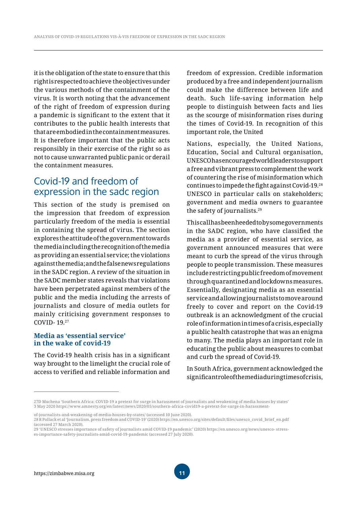it is the obligation of the state to ensure that this right is respected to achieve the objectives under the various methods of the containment of the virus. It is worth noting that the advancement of the right of freedom of expression during a pandemic is significant to the extent that it contributes to the public health interests that that are embodied in the containment measures. It is therefore important that the public acts responsibly in their exercise of the right so as not to cause unwarranted public panic or derail the containment measures.

# Covid-19 and freedom of expression in the sadc region

This section of the study is premised on the impression that freedom of expression particularly freedom of the media is essential in containing the spread of virus. The section explores the attitude of the government towards the media including the recognition of the media as providing an essential service; the violations against the media; and the false news regulations in the SADC region. A review of the situation in the SADC member states reveals that violations have been perpetrated against members of the public and the media including the arrests of journalists and closure of media outlets for mainly criticising government responses to COVID- 19.27

#### **Media as 'essential service' in the wake of covid-19**

The Covid-19 health crisis has in a significant way brought to the limelight the crucial role of access to verified and reliable information and freedom of expression. Credible information produced by a free and independent journalism could make the difference between life and death. Such life-saving information help people to distinguish between facts and lies as the scourge of misinformation rises during the times of Covid-19. In recognition of this important role, the United

Nations, especially, the United Nations, Education, Social and Cultural organisation, UNESCO has encouraged world leaders to support a free and vibrant press to complement the work of countering the rise of misinformation which continues to impede the fight against Covid-19.<sup>28</sup> UNESCO in particular calls on stakeholders; government and media owners to guarantee the safety of journalists.29

This call has been heeded to by some governments in the SADC region, who have classified the media as a provider of essential service, as government announced measures that were meant to curb the spread of the virus through people to people transmission. These measures include restricting public freedom of movement through quarantined and lockdowns measures. Essentially, designating media as an essential service and allowing journalists to move around freely to cover and report on the Covid-19 outbreak is an acknowledgment of the crucial role of information in times of a crisis, especially a public health catastrophe that was an enigma to many. The media plays an important role in educating the public about measures to combat and curb the spread of Covid-19.

In South Africa, government acknowledged the significant role of the media during times of crisis,

of-journalists-and-weakening-of-media-houses-by-states/ (accessed 10 June 2020).

<sup>27</sup>D Muchena 'Southern Africa: COVID-19 a pretext for surge in harassment of journalists and weakening of media houses by states' 3 May 2020 https://www.amnesty.org/en/latest/news/2020/05/southern-africa-covid19-a-pretext-for-surge-in-harassment-

<sup>28</sup> R Pollack et al 'Journalism, press freedom and COVID-19' (2020) https://en.unesco.org/sites/default/files/unesco\_covid\_brief\_en.pdf (accessed 27 March 2020).

<sup>29 &#</sup>x27;UNESCO stresses importance of safety of journalists amid COVID-19 pandemic' (2020) https://en.unesco.org/news/unesco- stresses-importance-safety-journalists-amid-covid-19-pandemic (accessed 27 July 2020).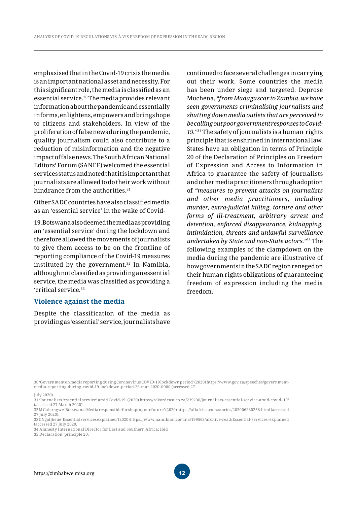emphasised that in the Covid-19 crisis the media is an important national asset and necessity. For this significant role, the media is classified as an essential service.30 The media provides relevant information about the pandemic and essentially informs, enlightens, empowers and brings hope to citizens and stakeholders. In view of the proliferation of false news during the pandemic, quality journalism could also contribute to a reduction of misinformation and the negative impact of false news. The South African National Editors' Forum (SANEF) welcomed the essential services status and noted that it is important that journalists are allowed to do their work without hindrance from the authorities.<sup>31</sup>

Other SADC countries have also classified media as an 'essential service' in the wake of Covid-

19. Botswana also deemed the media as providing an 'essential service' during the lockdown and therefore allowed the movements of journalists to give them access to be on the frontline of reporting compliance of the Covid-19 measures instituted by the government.<sup>32</sup> In Namibia, although not classified as providing an essential service, the media was classified as providing a 'critical service.33

#### **Violence against the media**

Despite the classification of the media as providing as 'essential' service, journalists have

continued to face several challenges in carrying out their work. Some countries the media has been under siege and targeted. Deprose Muchena, *"from Madagascar to Zambia, we have seen governments criminalising journalists and shutting down media outlets that are perceived to be calling out poor government responses to Covid-19."*34 The safety of journalists is a human rights principle that is enshrined in international law. States have an obligation in terms of Principle 20 of the Declaration of Principles on Freedom of Expression and Access to Information in Africa to guarantee the safety of journalists and other media practitioners through adoption of *"measures to prevent attacks on journalists and other media practitioners, including murder, extra-judicial killing, torture and other forms of ill-treatment, arbitrary arrest and detention, enforced disappearance, kidnapping, intimidation, threats and unlawful surveillance undertaken by State and non-State actors."*35 The following examples of the clampdown on the media during the pandemic are illustrative of how governments in the SADC region reneged on their human rights obligations of guaranteeing freedom of expression including the media freedom.

July 2020).

<sup>30 &#</sup>x27;Government on media reporting during Coronavirus COVID-19 lockdown period' (2020) https://www.gov.za/speeches/governmentmedia-reporting-during-covid-19-lockdown-period-26-mar-2020-0000 (accessed 27

<sup>31 &#</sup>x27;Journalists 'essential service' amid Covid-19' (2020) https://rekordeast.co.za/239230/journalists-essential-service-amid-covid- 19/ (accessed 27 March 2020). 32 M Galeragwe 'Botswana: Media responsible for shaping our future' (2020) https://allafrica.com/stories/202006230258.html (accessed

<sup>27</sup> July 2020).

<sup>33</sup> C Ngatjheue 'Essential services explained' (2020) https://www.namibian.com.na/199562/archive-read/Essential-services- explained (accessed 27 July 2020.

<sup>34</sup> Amnesty International Director for East and Southern Africa; ibid

<sup>35</sup> Declaration, principle 20.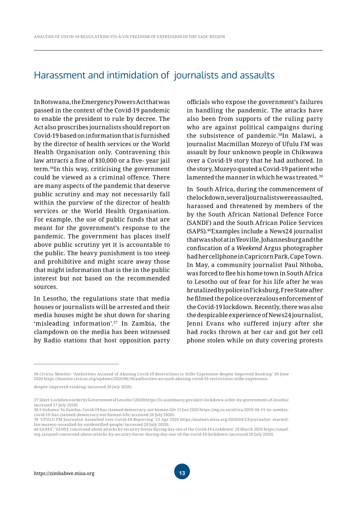### Harassment and intimidation of journalists and assaults

In Botswana, the Emergency Powers Act that was passed in the context of the Covid-19 pandemic to enable the president to rule by decree. The Act also proscribes journalists should report on Covid-19 based on information that is furnished by the director of health services or the World Health Organisation only. Contravening this law attracts a fine of \$10,000 or a five- year jail term.36In this way, criticising the government could be viewed as a criminal offence. There are many aspects of the pandemic that deserve public scrutiny and may not necessarily fall within the purview of the director of health services or the World Health Organisation. For example, the use of public funds that are meant for the government's response to the pandemic. The government has places itself above public scrutiny yet it is accountable to the public. The heavy punishment is too steep and prohibitive and might scare away those that might information that is the in the public interest but not based on the recommended sources.

In Lesotho, the regulations state that media houses or journalists will be arrested and their media houses might be shut down for sharing 'misleading information'.37 In Zambia, the clampdown on the media has been witnessed by Radio stations that host opposition party officials who expose the government's failures in handling the pandemic. The attacks have also been from supports of the ruling party who are against political campaigns during the subsistence of pandemic.38In Malawi, a journalist Macmillan Mozeyo of Ufulu FM was assault by four unknown people in Chikwawa over a Covid-19 story that he had authored. In the story, Mozeyo quoted a Covid-19 patient who lamented the manner in which he was treated.39

In South Africa, during the commencement of the lockdown, several journalists were assaulted, harassed and threatened by members of the by the South African National Defence Force (SANDF) and the South African Police Services (SAPS).40Examples include a News24 journalist that was shot at in Yeoville, Johannesburg and the confiscation of a *Weekend* Argus photographer had her cellphone in Capricorn Park, Cape Town. In May, a community journalist Paul Nthoba, was forced to flee his home town in South Africa to Lesotho out of fear for his life after he was brutalized by police in Ficksburg, Free State after he filmed the police overzealous enforcement of the Covid-19 lockdown. Recently, there was also the despicable experience of News24 journalist, Jenni Evans who suffered injury after she had rocks thrown at her car and got her cell phone stolen while on duty covering protests

<sup>36</sup> Civicus Monitor: 'Authorities Accused of Abusing Covid-19 Restrictions to Stifle Expression despite Improved Ranking' 30 June 2020 https://monitor.civicus.org/updates/2020/06/30/authorities-accused-abusing-covid-19-restrictions-stifle-expression-

despite-improved-ranking/ (accessed 20 July 2020).

<sup>37 &#</sup>x27;Alert: Lockdown order by Government of Lesotho' (2020) https://ls.usembassy.gov/alert-lockdown-order-by-government-of- lesotho/ (accessed 27 July 2020).

<sup>38</sup> S Sishuwa 'In Zambia, Covid-19 has claimed democracy, not human life 15 Jun 2020 https://mg.co.za/africa/2020-06-15-in- zambiacovid-19-has-claimed-democracy-not-human-life/ accessed 20 July 2020).

<sup>39 &#</sup>x27;UFULU FM Journalist Assaulted over Covid-19 Reporting' 23 Apr 2020 https://malawi.misa.org/2020/04/23/journalist- macmillan-mozeyo-assaulted-by-unidentified-people/ (accessed 20 July 2020).

<sup>40</sup> SANEF: 'SANEF concerned about attacks by security forces during day one of the Covid-19 Lockdown' 28 March 2020 https://sanef. org.za/sanef-concerned-about-attacks-by-security-forces-during-day-one-of-the-covid-19-lockdown/ (accessed 20 July 2020).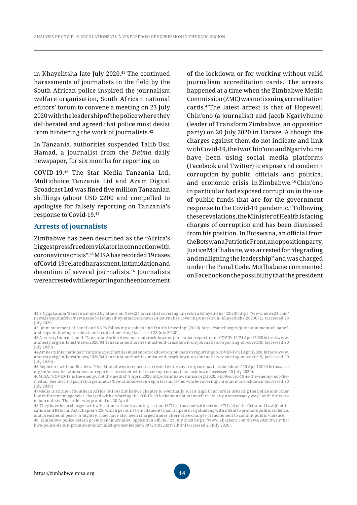in Khayelitsha late July 2020.<sup>41</sup> The continued harassments of journalists in the field by the South African police inspired the journalism welfare organisation, South African national editors' forum to convene a meeting on 23 July 2020 with the leadership of the police where they deliberated and agreed that police must desist from hindering the work of journalists.42

In Tanzania, authorities suspended Talib Ussi Hamad, a journalist from the *Daima* daily newspaper, for six months for reporting on

COVID-19.43 The Star Media Tanzania Ltd, Multichoice Tanzania Ltd and Azam Digital Broadcast Ltd was fined five million Tanzanian shillings (about USD 2200 and compelled to apologise for falsely reporting on Tanzania's response to Covid-19.44

#### **Arrests of journalists**

Zimbabwe has been described as the "Africa's biggest press freedom violator in connection with coronavirus crisis".45 MISA has recorded 19 cases of Covid-19 related harassment, intimidation and detention of several journalists.<sup>46</sup> Journalists were arrested while reporting on the enforcement of the lockdown or for working without valid journalism accreditation cards. The arrests happened at a time when the Zimbabwe Media Commission (ZMC) was not issuing accreditation cards.47The latest arrest is that of Hopewell Chin'ono (a journalist) and Jacob Ngarivhume (leader of Transform Zimbabwe, an opposition party) on 20 July 2020 in Harare. Although the charges against them do not indicate and link with Covid-19, the two Chin'ono and Ngarivhume have been using social media platforms (Facebook and Twitter) to expose and condemn corruption by public officials and political and economic crisis in Zimbabwe.48 Chin'ono in particular had exposed corruption in the use of public funds that are for the government response to the Covid-19 pandemic.49Following these revelations, the Minister of Health is facing charges of corruption and has been dismissed from his position. In Botswana, an official from the Botswana Patriotic Front, an opposition party, Justice Motlhabane, was arrested for "degrading and maligning the leadership" and was charged under the Penal Code. Motlhabane commented on Facebook on the possibility that the president

<sup>41</sup> S Ngqakamba 'Sanef dismayed by attack on News24 journalist covering unrests in Khayelitsha' (2020) https://www.news24.com/ news24/southafrica/news/sanef-dismayed-by-attack-on-news24-journalist-covering-unrests-in- khayelitsha-20200721 (accessed 28 July 2020.

<sup>42 &#</sup>x27;Joint statement of Sanef and SAPS following a robust and fruitful meeting' (2020) https://sanef.org.za/joint-statement-of- sanefand-saps-following-a-robust-and-fruitful-meeting/ (accessed 28 July 2020).

<sup>43</sup> Amnesty International: 'Tanzania: Authorities must end crackdown on journalists reporting on COVID-19' 21 April 2020 https://www. amnesty.org/en/latest/news/2020/04/tanzania-authorities-must-end-crackdown-on-journalists-reporting-on-covid19/ (accessed 20 July 2020).

<sup>44</sup> Amnesty International: 'Tanzania: Authorities must end crackdown on journalists reporting on COVID-19' 21 April 2020. https://www. amnesty.org/en/latest/news/2020/04/tanzania-authorities-must-end-crackdown-on-journalists-reporting-on-covid19/ (accessed 20 July 2020).

<sup>45</sup> Reporters without Borders: 'Five Zimbabwean reporters arrested while covering coronavirus lockdown' 10 April 2020 https://rsf. org/en/news/five-zimbabwean-reporters-arrested-while-covering-coronavirus-lockdown (accessed 20 July 2020).

<sup>46</sup>MISA: 'COVID-19 is the enemy, not the media!' 9 April 2020 https://zimbabwe.misa.org/2020/04/09/covid-19-is-the-enemy- not-themedia/. See also https://rsf.org/en/news/five-zimbabwean-reporters-arrested-while-covering-coronavirus-lockdown (accessed 20 July 2020)

<sup>47</sup>Media Institute of Southern Africa (MISA) Zimbabwe chapter to eventually sort a High Court order ordering the police and other law enforcement agencies charged with enforcing the COVID-19 lockdown not to interfere "in any unnecessary way" with the work of journalists. The order was granted on 20 April.

<sup>48</sup> They have been charged with allegations of contravening section 187(1) (a) as read with section 37(1) (a) of the Criminal Law [Codification and Reform] Act, Chapter 9:23, which pertains to incitement to participate in a gathering with intent to promote public violence, and breaches of peace or bigotry. They have also been charged under alternative charges of incitement to commit public violence.

<sup>49</sup> 'Zimbabwe police detain prominent journalist, opposition official' 21 July 2020 https://www.aljazeera.com/news/2020/07/zimbabwe-police-detain-prominent-journalist-protest-leader-200720193232172.html (accessed 26 July 2020).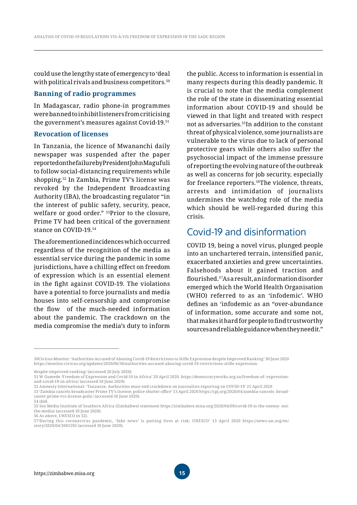could use the lengthy state of emergency to 'deal with political rivals and business competitors.<sup>50</sup>

#### **Banning of radio programmes**

In Madagascar, radio phone-in programmes were banned to inhibit listeners from criticising the government's measures against Covid-19.51

#### **Revocation of licenses**

In Tanzania, the licence of Mwananchi daily newspaper was suspended after the paper reported on the failure by President John Magufuli to follow social-distancing requirements while shopping.52 In Zambia, Prime TV's license was revoked by the Independent Broadcasting Authority (IBA), the broadcasting regulator "in the interest of public safety, security, peace, welfare or good order." 53Prior to the closure, Prime TV had been critical of the government stance on COVID-19.54

The aforementioned incidences which occurred regardless of the recognition of the media as essential service during the pandemic in some jurisdictions, have a chilling effect on freedom of expression which is an essential element in the fight against COVID-19. The violations have a potential to force journalists and media houses into self-censorship and compromise the flow of the much-needed information about the pandemic. The crackdown on the media compromise the media's duty to inform the public. Access to information is essential in many respects during this deadly pandemic. It is crucial to note that the media complement the role of the state in disseminating essential information about COVID-19 and should be viewed in that light and treated with respect not as adversaries.55In addition to the constant threat of physical violence, some journalists are vulnerable to the virus due to lack of personal protective gears while others also suffer the psychosocial impact of the immense pressure of reporting the evolving nature of the outbreak as well as concerns for job security, especially for freelance reporters.<sup>56</sup>The violence, threats, arrests and intimidation of journalists undermines the watchdog role of the media which should be well-regarded during this crisis.

### Covid-19 and disinformation

COVID 19, being a novel virus, plunged people into an unchartered terrain, intensified panic, exacerbated anxieties and grew uncertainties. Falsehoods about it gained traction and flourished.57As a result, an information disorder emerged which the World Health Organisation (WHO) referred to as an 'infodemic'. WHO defines an 'infodemic as an "over-abundance of information, some accurate and some not, that makes it hard for people to find trustworthy sources and reliable guidance when they need it."

<sup>50</sup>Civicus Monitor: 'Authorities Accused of Abusing Covid-19 Restrictions to Stifle Expression despite Improved Ranking' 30 June 2020 https://monitor.civicus.org/updates/2020/06/30/authorities-accused-abusing-covid-19-restrictions-stifle-expression-

despite-improved-ranking/ (accessed 20 July 2020).

<sup>51</sup> W Gumede 'Freedom of Expression and Covid-19 in Africa' 20 April 2020. https://democracyworks.org.za/freedom-of- expressionand-covid-19-in-africa/ (accessed 10 June 2020).

<sup>52</sup> Amnesty International: 'Tanzania: Authorities must end crackdown on journalists reporting on COVID-19' 21 April 2020

<sup>53</sup> 'Zambia cancels broadcaster Prime TV's license, police shutter office' 13 April 2020 https://cpj.org/2020/04/zambia-cancels- broadcaster-prime-tvs-license-polic/ (accessed 10 June 2020).

<sup>54</sup> ibid.

<sup>55</sup> See Media Institute of Southern Africa (Zimbabwe) statement https://zimbabwe.misa.org/2020/04/09/covid-19-is-the-enemy- notthe-media/ (accessed 10 June 2020).

<sup>56</sup> As above, UNESCO (n 32).

<sup>57&#</sup>x27;During this coronavirus pandemic, 'fake news' is putting lives at risk: UNESCO' 13 April 2020 https://news.un.org/en/ story/2020/04/1061592 (accessed 10 June 2020).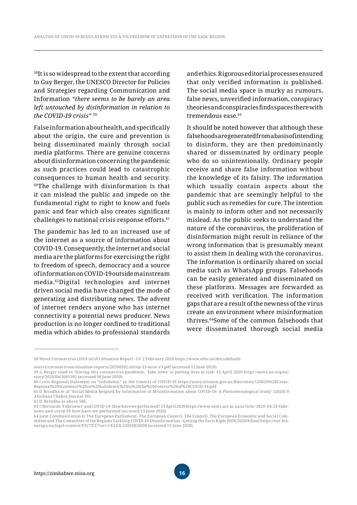58It is so widespread to the extent that according to Guy Berger, the UNESCO Director for Policies and Strategies regarding Communication and Information *"there seems to be barely an area left untouched by disinformation in relation to the COVID-19 crisis"* <sup>59</sup>

False information about health, and specifically about the origin, the cure and prevention is being disseminated mainly through social media platforms. There are genuine concerns about disinformation concerning the pandemic as such practices could lead to catastrophic consequences to human health and security.  $60$ The challenge with disinformation is that it can mislead the public and impede on the fundamental right to right to know and fuels panic and fear which also creates significant challenges to national crisis response efforts.<sup>61</sup>

The pandemic has led to an increased use of the internet as a source of information about COVID-19. Consequently, the internet and social media are the platforms for exercising the right to freedom of speech, democracy and a source of information on COVID-19 outside mainstream media.62Digital technologies and internet driven social media have changed the mode of generating and distributing news. The advent of internet renders anyone who has internet connectivity a potential news producer. News production is no longer confined to traditional media which abides to professional standards

and ethics. Rigorous editorial processes ensured that only verified information is published. The social media space is murky as rumours, false news, unverified information, conspiracy theories and conspiracies finds spaces there with tremendous ease.<sup>63</sup>

It should be noted however that although these falsehoods are generated from a basis of intending to disinform, they are then predominantly shared or disseminated by ordinary people who do so unintentionally. Ordinary people receive and share false information without the knowledge of its falsity. The information which usually contain aspects about the pandemic that are seemingly helpful to the public such as remedies for cure. The intention is mainly to inform other and not necessarily mislead. As the public seeks to understand the nature of the coronavirus, the proliferation of disinformation might result in reliance of the wrong information that is presumably meant to assist them in dealing with the coronavirus. The information is ordinarily shared on social media such as WhatsApp groups. Falsehoods can be easily generated and disseminated on these platforms. Messages are forwarded as received with verification. The information gaps that are a result of the newness of the virus create an environment where misinformation thrives.64Some of the common falsehoods that were disseminated thorough social media

source/coronaviruse/situation-reports/20200202-sitrep-13-ncov-v3.pdf (accessed 12 June 2020).

<sup>58&#</sup>x27;Novel Coronavirus (2019-nCoV) Situation Report –13' 2 February 2020 https://www.who.int/docs/default-

<sup>59</sup> G Berger cited in 'During this coronavirus pandemic, 'fake news' is putting lives at risk' 13 April 2020 https://news.un.org/en/ story/2020/04/1061592 (accessed 10 June 2020).

<sup>60</sup> Cross-Regional Statement on "Infodemic" in the Context of COVID-19 https://unny.mission.gov.au/files/unny/120620%20Cross-Regional%20Statement%20on%20Infodemic%20in%20the%20Context%20of%20COVID-19.pdf

<sup>61</sup> D Brindha et al 'Social Media Reigned by Information or Misinformation about COVID-19: A Phenomenological Study' (2020) 9 Alochana Chakra Journal 591.

<sup>62</sup> D. Brindha as above 586.

<sup>63</sup> C Bernardo 'Fake news' and COVID-19: How have we performed? 23 April 2020 https://www.news.uct.ac.za/article/-2020- 04-23-fakenews-and-covid-19-how-have-we-performed (accessed 13 June 2020).

<sup>64</sup> Joint Communication to The European Parliament, The European Council, The Council, The European Economic and Social Committee and The Committee of the Regions Tackling COVID-19 Disinformation - Getting the Facts Right JOIN/2020/8 final https://eur-lex. europa.eu/legal-content/EN/TXT/?uri=CELEX:52020JC0008 (accessed 13 June 2020).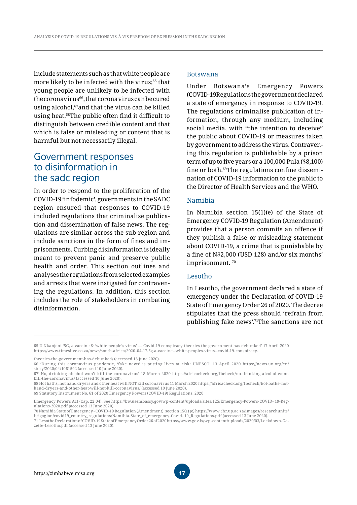include statements such as that white people are more likely to be infected with the virus;<sup>65</sup> that young people are unlikely to be infected with the coronavirus66, that corona virus can be cured using alcohol,<sup>67</sup>and that the virus can be killed using heat.68The public often find it difficult to distinguish between credible content and that which is false or misleading or content that is harmful but not necessarily illegal.

### Government responses to disinformation in the sadc region

In order to respond to the proliferation of the COVID-19 'infodemic', governments in the SADC region ensured that responses to COVID-19 included regulations that criminalise publication and dissemination of false news. The regulations are similar across the sub-region and include sanctions in the form of fines and imprisonments. Curbing disinformation is ideally meant to prevent panic and preserve public health and order. This section outlines and analyses the regulations from selected examples and arrests that were instigated for contravening the regulations. In addition, this section includes the role of stakeholders in combating disinformation.

#### Botswana

Under Botswana's Emergency Powers (COVID-19Regulations the government declared a state of emergency in response to COVID-19. The regulations criminalise publication of information, through any medium, including social media, with "the intention to deceive" the public about COVID-19 or measures taken by government to address the virus. Contravening this regulation is publishable by a prison term of up to five years or a 100,000 Pula (\$8,100) fine or both.69The regulations confine dissemination of COVID-19 information to the public to the Director of Health Services and the WHO.

#### Namibia

In Namibia section 15(1)(e) of the State of Emergency COVID-19 Regulation (Amendment) provides that a person commits an offence if they publish a false or misleading statement about COVID-19, a crime that is punishable by a fine of N\$2,000 (USD 128) and/or six months' imprisonment.<sup>70</sup>

#### Lesotho

In Lesotho, the government declared a state of emergency under the Declaration of COVID-19 State of Emergency Order 26 of 2020. The decree stipulates that the press should 'refrain from publishing fake news'.71The sanctions are not

69 Statutory Instrument No. 61 of 2020 Emergency Powers (COVID-19) Regulations, 2020

<sup>65</sup> U Nkanjeni '5G, a vaccine & 'white people's virus' — Covid-19 conspiracy theories the government has debunked' 17 April 2020 https://www.timeslive.co.za/news/south-africa/2020-04-17-5g-a-vaccine--white-peoples-virus--covid-19-conspiracy-

theories-the-government-has-debunked/ (accessed 13 June 2020).

<sup>66 &#</sup>x27;During this coronavirus pandemic, 'fake news' is putting lives at risk: UNESCO' 13 April 2020 https://news.un.org/en/ story/2020/04/1061592 (accessed 10 June 2020).

<sup>67&#</sup>x27; No, drinking alcohol won't kill the coronavirus' 18 March 2020 https://africacheck.org/fbcheck/no-drinking-alcohol-wontkill-the-coronavirus/ (accessed 10 June 2020).

<sup>68</sup> Hot baths, hot hand dryers and other heat will NOT kill coronavirus 11 March 2020 https://africacheck.org/fbcheck/hot-baths- hothand-dryers-and-other-heat-will-not-kill-coronavirus/ (accessed 10 June 2020).

Emergency Powers Act (Cap. 22:04). See https://bw.usembassy.gov/wp-content/uploads/sites/125/Emergency-Powers-COVID- 19-Regulations-2020.pdf (accessed 13 June 2020).

<sup>70</sup> Namibia State of Emergency - COVID-19 Regulation (Amendment), section 15(1) (e) https://www.chr.up.ac.za/images/researchunits/ litigagion/covid19\_country\_regulations/Namibia-State\_of\_emergency-Covid- 19\_Regulations.pdf (accessed 13 June 2020). 71 Lesotho Declaration of COVID-19 State of Emergency Order 26 of 2020 https://www.gov.ls/wp- content/uploads/2020/03/Lockdown-Gazette-Lesotho.pdf (accessed 13 June 2020).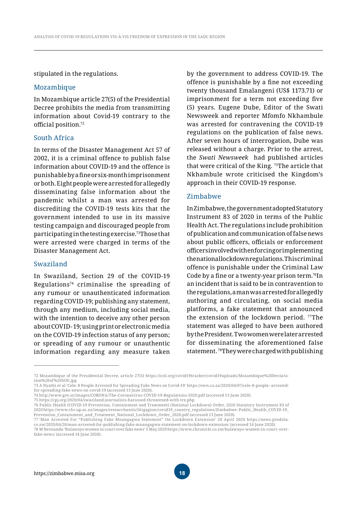stipulated in the regulations.

#### Mozambique

In Mozambique article 27(5) of the Presidential Decree prohibits the media from transmitting information about Covid-19 contrary to the official position.<sup>72</sup>

#### South Africa

In terms of the Disaster Management Act 57 of 2002, it is a criminal offence to publish false information about COVID-19 and the offence is punishable by a fine or six-month imprisonment or both. Eight people were arrested for allegedly disseminating false information about the pandemic whilst a man was arrested for discrediting the COVID-19 tests kits that the government intended to use in its massive testing campaign and discouraged people from participating in the testing exercise.73Those that were arrested were charged in terms of the Disaster Management Act.

#### Swaziland

In Swaziland, Section 29 of the COVID-19 Regulations<sup>74</sup> criminalise the spreading of any rumour or unauthenticated information regarding COVID-19; publishing any statement, through any medium, including social media, with the intention to deceive any other person about COVID- 19; using print or electronic media on the COVID-19 infection status of any person; or spreading of any rumour or unauthentic information regarding any measure taken by the government to address COVID-19. The offence is punishable by a fine not exceeding twenty thousand Emalangeni (US\$ 1173.71) or imprisonment for a term not exceeding five (5) years. Eugene Dube, Editor of the Swati Newsweek and reporter Mfomfo Nkhambule was arrested for contravening the COVID-19 regulations on the publication of false news. After seven hours of interrogation, Dube was released without a charge. Prior to the arrest, the *Swati Newsweek* had published articles that were critical of the King. 75The article that Nkhambule wrote criticised the Kingdom's approach in their COVID-19 response.

#### Zimbabwe

In Zimbabwe, the government adopted Statutory Instrument 83 of 2020 in terms of the Public Health Act. The regulations include prohibition of publication and communication of false news about public officers, officials or enforcement officers involved with enforcing or implementing the national lockdown regulations. This criminal offence is punishable under the Criminal Law Code by a fine or a twenty-year prison term.76In an incident that is said to be in contravention to the regulations, a man was arrested for allegedly authoring and circulating, on social media platforms, a fake statement that announced the extension of the lockdown period. 77The statement was alleged to have been authored by the President. Two women were later arrested for disseminating the aforementioned false statement. 78They were charged with publishing

<sup>72</sup> Mozambique of the Presidential Decree, article 27(5) https://icnl.org/covid19tracker/covid19uploads/Mozambique%20Declaration%20of%20SOE.jpg

<sup>73</sup> A Nyathi et al 'Cele: 8 People Arrested for Spreading Fake News on Covid-19' https://ewn.co.za/2020/04/07/cele-8-people- arrestedfor-spreading-fake-news-on-covid-19 (accessed 13 June 2020).

<sup>74</sup> http://www.gov.sz/images/CORONA/The-Coronavirus-COVID-19-Regulations-2020.pdf (accessed 13 June 2020).

<sup>75</sup> https://cpj.org/2020/04/swaziland-journalists-harassed-threatened-with-tre.php

<sup>76</sup> Public Health (COVID-19 Prevention, Containment and Treatment) (National Lockdown) Order, 2020 Statutory Instrument 83 of 2020 https://www.chr.up.ac.za/images/researchunits/litigagion/covid19\_country\_regulations/Zimbabwe- Public\_Health\_COVID-19\_ Prevention\_Containment\_and\_Treatment\_National\_Lockdown\_Order\_2020.pdf (accessed 13 June 2020).

<sup>77 &#</sup>x27;Man Arrested For "Publishing Fake Mnangagwa Statement" On Lockdown Extension' 20 April 2020 https://news.pindula. co.zw/2020/04/20/man-arrested-for-publishing-fake-mnangagwa-statement-on-lockdown-extension/ (accessed 14 June 2020).

<sup>78</sup> M Netsianda 'Bulawayo women in court over fake news' 5 May 2020 https://www.chronicle.co.zw/bulawayo-women-in-court- overfake-news/ (accessed 14 June 2020).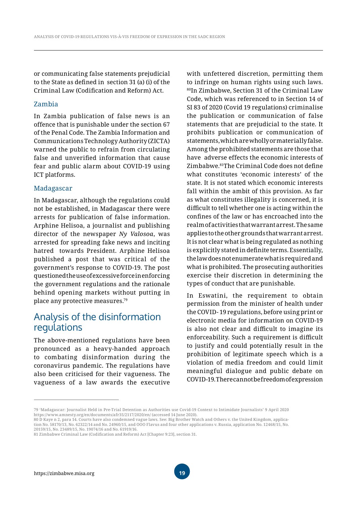or communicating false statements prejudicial to the State as defined in section 31 (a) (i) of the Criminal Law (Codification and Reform) Act.

#### Zambia

In Zambia publication of false news is an offence that is punishable under the section 67 of the Penal Code. The Zambia Information and Communications Technology Authority (ZICTA) warned the public to refrain from circulating false and unverified information that cause fear and public alarm about COVID-19 using ICT platforms.

#### Madagascar

In Madagascar, although the regulations could not be established, in Madagascar there were arrests for publication of false information. Arphine Helisoa, a journalist and publishing director of the newspaper *Ny Valosoa*, was arrested for spreading fake news and inciting hatred towards President. Arphine Helisoa published a post that was critical of the government's response to COVID-19. The post questioned the use of excessive force in enforcing the government regulations and the rationale behind opening markets without putting in place any protective measures.79

### Analysis of the disinformation regulations

The above-mentioned regulations have been pronounced as a heavy-handed approach to combating disinformation during the coronavirus pandemic. The regulations have also been criticised for their vagueness. The vagueness of a law awards the executive

with unfettered discretion, permitting them to infringe on human rights using such laws. 80In Zimbabwe, Section 31 of the Criminal Law Code, which was referenced to in Section 14 of SI 83 of 2020 (Covid 19 regulations) criminalise the publication or communication of false statements that are prejudicial to the state. It prohibits publication or communication of statements, which are wholly or materially false. Among the prohibited statements are those that have adverse effects the economic interests of Zimbabwe.81The Criminal Code does not define what constitutes 'economic interests' of the state. It is not stated which economic interests fall within the ambit of this provision. As far as what constitutes illegality is concerned, it is difficult to tell whether one is acting within the confines of the law or has encroached into the realm of activities that warrant arrest. The same applies to the other grounds that warrant arrest. It is not clear what is being regulated as nothing is explicitly stated in definite terms. Essentially, the law does not enumerate what is required and what is prohibited. The prosecuting authorities exercise their discretion in determining the types of conduct that are punishable.

In Eswatini, the requirement to obtain permission from the minister of health under the COVID- 19 regulations, before using print or electronic media for information on COVID-19 is also not clear and difficult to imagine its enforceability. Such a requirement is difficult to justify and could potentially result in the prohibition of legitimate speech which is a violation of media freedom and could limit meaningful dialogue and public debate on COVID-19. There cannot be freedom of expression

<sup>79 &#</sup>x27;Madagascar: Journalist Held in Pre-Trial Detention as Authorities use Covid-19 Context to Intimidate Journalists' 9 April 2020 https://www.amnesty.org/en/documents/afr35/2117/2020/en/ (accessed 14 June 2020).

<sup>80</sup> D Kaye n 2, para 14. Courts have also condemned vague laws. See: Big Brother Watch and Others v. the United Kingdom, application No. 58170/13, No. 62322/14 and No. 24960/15, and OOO Flavus and four other applications v. Russia, application No. 12468/15, No. 20159/15, No. 23489/15, No. 19074/16 and No. 61919/16.

<sup>81</sup> Zimbabwe Criminal Law (Codification and Reform) Act [Chapter 9:23], section 31.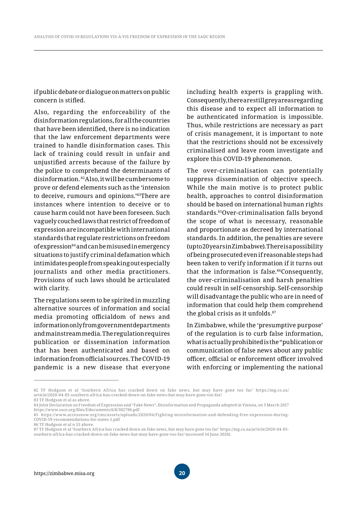if public debate or dialogue on matters on public concern is stifled.

Also, regarding the enforceability of the disinformation regulations, for all the countries that have been identified, there is no indication that the law enforcement departments were trained to handle disinformation cases. This lack of training could result in unfair and unjustified arrests because of the failure by the police to comprehend the determinants of disinformation. 82Also, it will be cumbersome to prove or defend elements such as the 'intension to deceive, rumours and opinions.'83There are instances where intention to deceive or to cause harm could not have been foreseen. Such vaguely couched laws that restrict of freedom of expression are incompatible with international standards that regulate restrictions on freedom of expression84 and can be misused in emergency situations to justify criminal defamation which intimidates people from speaking out especially journalists and other media practitioners. Provisions of such laws should be articulated with clarity.

The regulations seem to be spirited in muzzling alternative sources of information and social media promoting officialdom of news and information only from government departments and mainstream media. The regulation requires publication or dissemination information that has been authenticated and based on information from official sources. The COVID-19 pandemic is a new disease that everyone including health experts is grappling with. Consequently, there are still grey areas regarding this disease and to expect all information to be authenticated information is impossible. Thus, while restrictions are necessary as part of crisis management, it is important to note that the restrictions should not be excessively criminalised and leave room investigate and explore this COVID-19 phenomenon.

The over-criminalisation can potentially suppress dissemination of objective speech. While the main motive is to protect public health, approaches to control disinformation should be based on international human rights standards.85Over-criminalisation falls beyond the scope of what is necessary, reasonable and proportionate as decreed by international standards. In addition, the penalties are severe (up to 20 years in Zimbabwe). There is a possibility of being prosecuted even if reasonable steps had been taken to verify information if it turns out that the information is false.86Consequently, the over-criminalisation and harsh penalties could result in self-censorship. Self-censorship will disadvantage the public who are in need of information that could help them comprehend the global crisis as it unfolds.<sup>87</sup>

In Zimbabwe, while the 'presumptive purpose' of the regulation is to curb false information, what is actually prohibited is the "publication or communication of false news about any public officer, official or enforcement officer involved with enforcing or implementing the national

<sup>82</sup> TF Hodgson et al 'Southern Africa has cracked down on fake news, but may have gone too far' https://mg.co.za/ article/2020-04-05-southern-africa-has-cracked-down-on-fake-news-but-may-have-gone-too-far/

<sup>83</sup> TF Hodgson et al as above.

<sup>84</sup> Joint Declaration on Freedom of Expression and "Fake News", Disinformation and Propaganda adopted in Vienna, on 3 March 2017 https://www.osce.org/files/f/documents/6/8/302796.pdf

<sup>85</sup> https://www.accessnow.org/cms/assets/uploads/2020/04/Fighting-misinformation-and-defending-free-expression-during-COVID-19-recommendations-for-states-1.pdf

<sup>86</sup> TF Hodgson et al n 55 above.

<sup>87</sup> TF Hodgson et al 'Southern Africa has cracked down on fake news, but may have gone too far' https://mg.co.za/article/2020-04-05 southern-africa-has-cracked-down-on-fake-news-but-may-have-gone-too-far/ (accessed 14 June 2020).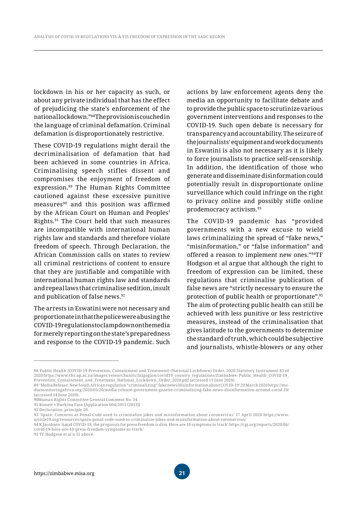lockdown in his or her capacity as such, or about any private individual that has the effect of prejudicing the state's enforcement of the national lockdown."88The provision is couched in the language of criminal defamation. Criminal defamation is disproportionately restrictive.

These COVID-19 regulations might derail the decriminalisation of defamation that had been achieved in some countries in Africa. Criminalising speech stifles dissent and compromises the enjoyment of freedom of expression.89 The Human Rights Committee cautioned against these excessive punitive measures<sup>90</sup> and this position was affirmed by the African Court on Human and Peoples' Rights.91 The Court held that such measures are incompatible with international human rights law and standards and therefore violate freedom of speech. Through Declaration, the African Commission calls on states to review all criminal restrictions of content to ensure that they are justifiable and compatible with international human rights law and standards and repeal laws that criminalise sedition, insult and publication of false news.92

The arrests in Eswatini were not necessary and proportionate in that the police were abusing the COVID-19 regulations to clamp down on the media for merely reporting on the state's preparedness and response to the COVID-19 pandemic. Such actions by law enforcement agents deny the media an opportunity to facilitate debate and to provide the public space to scrutinize various government interventions and responses to the COVID-19. Such open debate is necessary for transparency and accountability. The seizure of the journalists' equipment and work documents in Eswatini is also not necessary as it is likely to force journalists to practice self-censorship. In addition, the identification of those who generate and disseminate disinformation could potentially result in disproportionate online surveillance which could infringe on the right to privacy online and possibly stifle online prodemocracy activism.93

The COVID-19 pandemic has "provided governments with a new excuse to wield laws criminalizing the spread of "fake news," "misinformation," or "false information" and offered a reason to implement new ones."94TF Hodgson et al argue that although the right to freedom of expression can be limited, these regulations that criminalise publication of false news are "strictly necessary to ensure the protection of public health or proportionate".95 The aim of protecting public health can still be achieved with less punitive or less restrictive measures, instead of the criminalisation that gives latitude to the governments to determine the standard of truth, which could be subjective and journalists, whistle-blowers or any other

<sup>88</sup> Public Health (COVID-19 Prevention, Containment and Treatment) (National Lockdown) Order, 2020 Statutory Instrument 83 of 2020 https://www.chr.up.ac.za/images/researchunits/litigagion/covid19\_country\_regulations/Zimbabwe- Public\_Health\_COVID-19\_ Prevention\_Containment\_and\_Treatment\_National\_Lockdown\_Order\_2020.pdf (accessed 13 June 2020).

<sup>89 &#</sup>x27;Media Release: New South African regulation "criminalizing" fake news/disinformation about COVID-19' 20 March 2020 https://mediamonitoringafrica.org/2020/03/20/media-release-government-gazette-criminalizing-fake-news-disinformation- around-covid-19/ (accessed 14 June 2020).

<sup>90</sup>Human Rights Committee General Comment No. 34

<sup>91</sup> Konaté v Burkina Faso [Application 004/2013 (2013)]

<sup>92</sup> Declaration, principle 20.

<sup>93 &#</sup>x27;Spain: Concerns as Penal Code used to criminalise jokes and misinformation about coronavirus' 17 April 2020 https://www.

article19.org/resources/spain-penal-code-used-to-criminalise-jokes-and-misinformation-about-coronavirus/

<sup>94</sup> K Jacobsen 'Amid COVID-19, the prognosis for press freedom is dim. Here are 10 symptoms to track' https://cpj.org/reports/2020/06/ covid-19-here-are-10-press-freedom-symptoms-to-track/

<sup>95</sup> TF Hodgson et al n 55 above.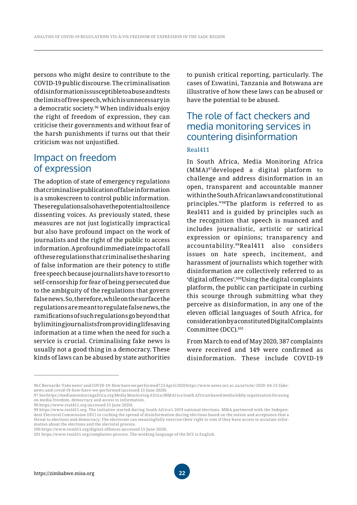persons who might desire to contribute to the COVID-19 public discourse. The criminalisation of disinformation is susceptible to abuse and tests the limits of free speech, which is unnecessary in a democratic society.96 When individuals enjoy the right of freedom of expression, they can criticise their governments and without fear of the harsh punishments if turns out that their criticism was not unjustified.

# Impact on freedom of expression

The adoption of state of emergency regulations that criminalise publication of false information is a smokescreen to control public information. These regulations also have the potential to silence dissenting voices. As previously stated, these measures are not just logistically impractical but also have profound impact on the work of journalists and the right of the public to access information. A profound immediate impact of all of these regulations that criminalise the sharing of false information are their potency to stifle free speech because journalists have to resort to self-censorship for fear of being persecuted due to the ambiguity of the regulations that govern false news. So, therefore, while on the surface the regulations are meant to regulate false news, the ramifications of such regulations go beyond that by limiting journalists from providing lifesaving information at a time when the need for such a service is crucial. Criminalising fake news is usually not a good thing in a democracy. These kinds of laws can be abused by state authorities

to punish critical reporting, particularly. The cases of Eswatini, Tanzania and Botswana are illustrative of how these laws can be abused or have the potential to be abused.

# The role of fact checkers and media monitoring services in countering disinformation

#### Real411

In South Africa, Media Monitoring Africa (MMA)97developed a digital platform to challenge and address disinformation in an open, transparent and accountable manner within the South African laws and constitutional principles."98The platform is referred to as Real411 and is guided by principles such as the recognition that speech is nuanced and includes journalistic, artistic or satirical expression or opinions; transparency and accountability.99Real411 also considers issues on hate speech, incitement, and harassment of journalists which together with disinformation are collectively referred to as 'digital offences'.100Using the digital complaints platform, the public can participate in curbing this scourge through submitting what they perceive as disinformation, in any one of the eleven official languages of South Africa, for consideration by a constituted Digital Complaints Committee (DCC).101

From March to end of May 2020, 387 complaints were received and 149 were confirmed as disinformation. These include COVID-19

98 https://www.real411.org (accessed 15 June 2020).

<sup>96</sup> C Bernardo 'Fake news' and COVID-19: How have we performed? 23 April 2020 https://www.news.uct.ac.za/article/-2020- 04-23-fakenews-and-covid-19-how-have-we-performed (accessed 15 June 2020).

<sup>97</sup> See https://mediamonitoringafrica.org Media Monitoring Africa (MMA) is a South African based media lobby organisation focusing on media freedom, democracy and access to information.

<sup>99</sup> https://www.real411.org. The initiative started during South Africa's 2019 national elections. MMA partnered with the Independent Electoral Commission (IEC) in curbing the spread of disinformation during elections based on the notion and acceptance that a threat to elections and democracy. The electorate can meaningfully exercise their right to vote if they have access to accurate information about the elections and the electoral process.

<sup>100</sup> https://www.real411.org/digital-offences (accessed 15 June 2020).

<sup>101</sup> https://www.real411.org/complaints-process. The working language of the DCC is English.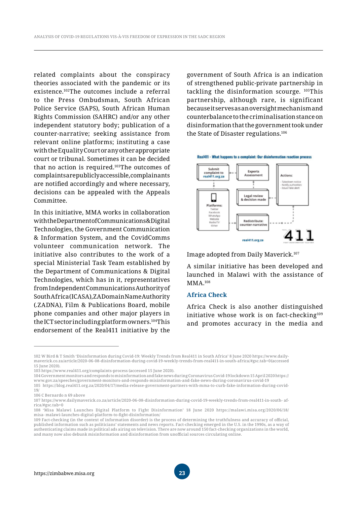related complaints about the conspiracy theories associated with the pandemic or its existence.102The outcomes include a referral to the Press Ombudsman, South African Police Service (SAPS), South African Human Rights Commission (SAHRC) and/or any other independent statutory body; publication of a counter-narrative; seeking assistance from relevant online platforms; instituting a case with the Equality Court or any other appropriate court or tribunal. Sometimes it can be decided that no action is required.103The outcomes of complaints are publicly accessible, complainants are notified accordingly and where necessary, decisions can be appealed with the Appeals Committee.

In this initiative, MMA works in collaboration with the Department of Communications & Digital Technologies, the Government Communication & Information System, and the CovidComms volunteer communication network. The initiative also contributes to the work of a special Ministerial Task Team established by the Department of Communications & Digital Technologies, which has in it, representatives from Independent Communications Authority of South Africa (ICASA), ZA Domain Name Authority (.ZADNA), Film & Publications Board, mobile phone companies and other major players in the ICT sector including platform owners.104This endorsement of the Real411 initiative by the government of South Africa is an indication of strengthened public-private partnership in tackling the disinformation scourge. 105This partnership, although rare, is significant because it serves as an oversight mechanism and counterbalance to the criminalisation stance on disinformation that the government took under the State of Disaster regulations.106



Image adopted from Daily Maverick.107

A similar initiative has been developed and launched in Malawi with the assistance of MMA.108

#### **Africa Check**

Africa Check is also another distinguished initiative whose work is on fact-checking<sup>109</sup> and promotes accuracy in the media and

<sup>102</sup> W Bird & T Smith 'Disinformation during Covid-19: Weekly Trends from Real411 in South Africa' 8 June 2020 https://www.dailymaverick.co.za/article/2020-06-08-disinformation-during-covid-19-weekly-trends-from-real411-in-south- africa/#gsc.tab=0 (accessed 15 June 2020).

<sup>103</sup> https://www.real411.org/complaints-process (accessed 15 June 2020).

<sup>104</sup> Government monitors and responds to misinformation and fake news during Coronavirus Covid-19 lockdown 15 April 2020 https:// www.gov.za/speeches/government-monitors-and-responds-misinformation-and-fake-news-during-coronavirus-covid-19

<sup>105</sup> https://blog.real411.org.za/2020/04/17/media-release-government-partners-with-mma-to-curb-fake-information-during-covid-19/

<sup>106</sup> C Bernardo n 69 above

<sup>107</sup> https://www.dailymaverick.co.za/article/2020-06-08-disinformation-during-covid-19-weekly-trends-from-real411-in-south- africa/#gsc.tab=0

<sup>108 &#</sup>x27;Misa Malawi Launches Digital Platform to Fight Disinformation' 18 June 2020 https://malawi.misa.org/2020/06/18/ misa- malawi-launches-digital-platform-to-fight-disinformation/

<sup>109</sup> Fact-checking (in the context of information disorder) is the process of determining the truthfulness and accuracy of official, published information such as politicians' statements and news reports. Fact-checking emerged in the U.S. in the 1990s, as a way of authenticating claims made in political ads airing on television. There are now around 150 fact-checking organizations in the world, and many now also debunk misinformation and disinformation from unofficial sources circulating online.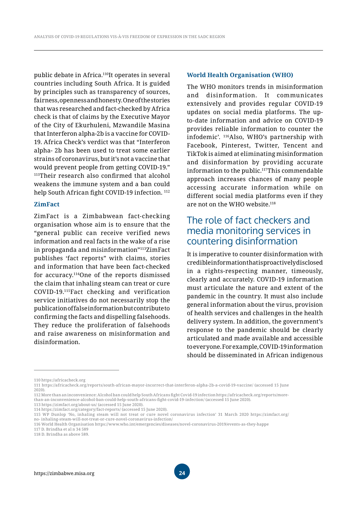public debate in Africa.<sup>110</sup>It operates in several countries including South Africa. It is guided by principles such as transparency of sources, fairness, openness and honesty. One of the stories that was researched and fact-checked by Africa check is that of claims by the Executive Mayor of the City of Ekurhuleni, Mzwandile Masina that Interferon alpha-2b is a vaccine for COVID-19. Africa Check's verdict was that "Interferon alpha- 2b has been used to treat some earlier strains of coronavirus, but it's not a vaccine that would prevent people from getting COVID-19." <sup>111</sup>Their research also confirmed that alcohol weakens the immune system and a ban could help South African fight COVID-19 infection.<sup>112</sup>

#### **ZimFact**

ZimFact is a Zimbabwean fact-checking organisation whose aim is to ensure that the "general public can receive verified news information and real facts in the wake of a rise in propaganda and misinformation"113ZimFact publishes 'fact reports" with claims, stories and information that have been fact-checked for accuracy.114One of the reports dismissed the claim that inhaling steam can treat or cure COVID-19.115Fact checking and verification service initiatives do not necessarily stop the publication of false information but contribute to confirming the facts and dispelling falsehoods. They reduce the proliferation of falsehoods and raise awareness on misinformation and disinformation.

#### **World Health Organisation (WHO)**

The WHO monitors trends in misinformation and disinformation. It communicates extensively and provides regular COVID-19 updates on social media platforms. The upto-date information and advice on COVID-19 provides reliable information to counter the infodemic'. 116Also, WHO's partnership with Facebook, Pinterest, Twitter, Tencent and TikTok is aimed at eliminating misinformation and disinformation by providing accurate information to the public.<sup>117</sup>This commendable approach increases chances of many people accessing accurate information while on different social media platforms even if they are not on the WHO website.<sup>118</sup>

### The role of fact checkers and media monitoring services in countering disinformation

It is imperative to counter disinformation with credible information that is proactively disclosed in a rights-respecting manner, timeously, clearly and accurately. COVID-19 information must articulate the nature and extent of the pandemic in the country. It must also include general information about the virus, provision of health services and challenges in the health delivery system. In addition, the government's response to the pandemic should be clearly articulated and made available and accessible to everyone. For example, COVID-19 information should be disseminated in African indigenous

113 https://zimfact.org/about-us/ (accessed 15 June 2020).

<sup>110</sup> https://africacheck.org

<sup>111</sup> https://africacheck.org/reports/south-african-mayor-incorrect-that-interferon-alpha-2b-a-covid-19-vaccine/ (accessed 15 June 2020).

<sup>112</sup> More than an inconvenience: Alcohol ban could help South Africans fight Covid-19 infection https://africacheck.org/reports/morethan-an-inconvenience-alcohol-ban-could-help-south-africans-fight-covid-19-infection/ (accessed 15 June 2020).

<sup>114</sup> https://zimfact.org/category/fact-reports/ (accessed 15 June 2020).

<sup>115</sup> WP Dunlop 'No, inhaling steam will not treat or cure novel coronavirus infection' 31 March 2020 https://zimfact.org/ no- inhaling-steam-will-not-treat-or-cure-novel-coronavirus-infection/

<sup>116</sup> World Health Organisation https://www.who.int/emergencies/diseases/novel-coronavirus-2019/events-as-they-happe

<sup>117</sup> D. Brindha et al n 34 589

<sup>118</sup> D. Brindha as above 589.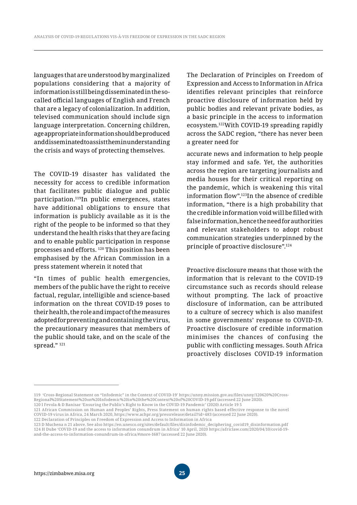languages that are understood by marginalized populations considering that a majority of information is still being disseminated in the socalled official languages of English and French that are a legacy of colonialization. In addition, televised communication should include sign language interpretation. Concerning children, age appropriate information should be produced and disseminated to assist the minunderstanding the crisis and ways of protecting themselves.

The COVID-19 disaster has validated the necessity for access to credible information that facilitates public dialogue and public participation.119In public emergences, states have additional obligations to ensure that information is publicly available as it is the right of the people to be informed so that they understand the health risks that they are facing and to enable public participation in response processes and efforts. 120 This position has been emphasised by the African Commission in a press statement wherein it noted that

"In times of public health emergencies, members of the public have the right to receive factual, regular, intelligible and science-based information on the threat COVID-19 poses to their health, the role and impact of the measures adopted for preventing and containing the virus, the precautionary measures that members of the public should take, and on the scale of the spread." 121

The Declaration of Principles on Freedom of Expression and Access to Information in Africa identifies relevant principles that reinforce proactive disclosure of information held by public bodies and relevant private bodies, as a basic principle in the access to information ecosystem.122With COVID-19 spreading rapidly across the SADC region, "there has never been a greater need for

accurate news and information to help people stay informed and safe. Yet, the authorities across the region are targeting journalists and media houses for their critical reporting on the pandemic, which is weakening this vital information flow".123In the absence of credible information, "there is a high probability that the credible information void will be filled with false information, hence the need for authorities and relevant stakeholders to adopt robust communication strategies underpinned by the principle of proactive disclosure".124

Proactive disclosure means that those with the information that is relevant to the COVID-19 circumstance such as records should release without prompting. The lack of proactive disclosure of information, can be attributed to a culture of secrecy which is also manifest in some governments' response to COVID-19. Proactive disclosure of credible information minimises the chances of confusing the public with conflicting messages. South Africa proactively discloses COVID-19 information

<sup>119</sup> 'Cross-Regional Statement on "Infodemic" in the Context of COVID-19' https://unny.mission.gov.au/files/unny/120620%20Cross-Regional%20Statement%20on%20Infodemic%20in%20the%20Context%20of%20COVID-19.pdf (accessed 22 June 2020).

<sup>120</sup> I Fevola & D Banisar 'Ensuring the Public's Right to Know in the COVID-19 Pandemic' (2020) Article 19 5

<sup>121</sup> African Commission on Human and Peoples' Rights, Press Statement on human rights based effective response to the novel COVID-19 virus in Africa, 24 March 2020, https://www.achpr.org/pressrelease/detail?id=483 (accessed 22 June 2020).

<sup>122</sup> Declaration of Principles on Freedom of Expression and Access to Information in Africa

<sup>123</sup> D Muchena n 21 above. See also https://en.unesco.org/sites/default/files/disinfodemic\_deciphering\_covid19\_disinformation.pdf 124 H Dube 'COVID-19 and the access to information conundrum in Africa' 10 April, 2020 https://africlaw.com/2020/04/10/covid-19 and-the-access-to-information-conundrum-in-africa/#more-1687 (accessed 22 June 2020).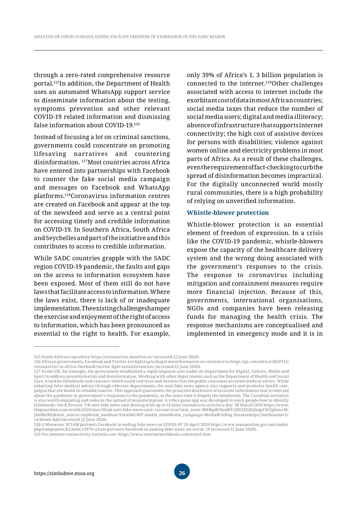through a zero-rated comprehensive resource portal.125In addition, the Department of Health uses an automated WhatsApp support service to disseminate information about the testing, symptoms prevention and other relevant COVID-19 related information and dismissing false information about COVID-19.126

Instead of focusing a lot on criminal sanctions, governments could concentrate on promoting lifesaving narratives and countering disinformation. 127Most countries across Africa have entered into partnerships with Facebook to counter the fake social media campaign and messages on Facebook and WhatsApp platforms.128Coronavirus information centres are created on Facebook and appear at the top of the newsfeed and serve as a central point for accessing timely and credible information on COVID-19. In Southern Africa, South Africa and Seychelles and part of the initiative and this contributes to access to credible information.

While SADC countries grapple with the SADC region COVID-19 pandemic, the faults and gaps on the access to information ecosystem have been exposed. Most of them still do not have laws that facilitate access to information. Where the laws exist, there is lack of or inadequate implementation. The existing challenges hamper the exercise and enjoyment of the right of access to information, which has been pronounced as essential to the right to health. For example, only 39% of Africa's 1, 3 billion population is connected to the internet.129Other challenges associated with access to internet include the exorbitant cost of data in most African countries; social media taxes that reduce the number of social media users; digital and media illiteracy; absence of infrastructure that supports internet connectivity; the high cost of assistive devices for persons with disabilities; violence against women online and electricity problems in most parts of Africa. As a result of these challenges, even the requirement of fact-checking to curb the spread of disinformation becomes impractical. For the digitally unconnected world mostly rural communities, there is a high probability of relying on unverified information.

#### **Whistle-blower protection**

Whistle-blower protection is an essential element of freedom of expression. In a crisis like the COVID-19 pandemic, whistle-blowers expose the capacity of the healthcare delivery system and the wrong doing associated with the government's responses to the crisis. The response to coronavirus including mitigation and containment measures require more financial injection. Because of this, governments, international organisations, NGOs and companies have been releasing funds for managing the health crisis. The response mechanisms are conceptualised and implemented in emergency mode and it is in

<sup>125</sup> South African repository https://coronavirus.datafree.co/ (accessed 22 June 2020).

<sup>126</sup> African governments, Facebook and Twitter are fighting to dispel misinformation on coronavirus https://qz.com/africa/1820712/ coronavirus-in-africa-facebook-twitter-fight-misinformation/ (accessed 22 June 2020).

<sup>127</sup> In the UK, for example, the government established a rapid response unit under its Department for Digital, Culture, Media and Sport to address misinformation and disinformation. Working with other departments such as the Department of Health and Social Care, it tackles falsehoods and rumours which could cost lives and ensures that the public consumes accurate medical advice. While rebutting false medical advice through relevant departments, the anti-fake news agency also supports and promotes health campaigns that are based on reliable sources. This approach guarantees the proactive disclosure of accurate information that is relevant about the pandemic or government's responses to the pandemic, at the same time it dispels the falsehoods. The Canadian initiative is also worth emulating and reduces the spread of misinformation. A video game app was developed to teach people how to identify falsehoods. See K Proctor 'UK anti-fake news unit dealing with up to 10 false coronavirus articles a day' 30 March 2020 https://www. theguardian.com/world/2020/mar/30/uk-anti-fake-news-unit- coronavirus?utm\_term=RWRpdG9yaWFsX01lZGlhQnJpZWZpbmctMjAwMzMx&utm\_source=esp&utm\_medium=Email&CM P=media\_email&utm\_campaign=MediaBriefing. See also https://mediasmarts. ca/break-fake (accessed 22 June 2020).

<sup>128</sup> G Msowoya 'ICTAM partners Facebook in ending fake news on COVID-19' 29 April 2020 https://www.manaonline.gov.mw/index. php/component/k2/item/13970-ictam-partners-facebook-in-ending-fake-news-on-covid- 19 (accessed 22 June 2020).

<sup>129</sup> For internet connectivity statistics see: https://www.internetworldstats.com/stats1.htm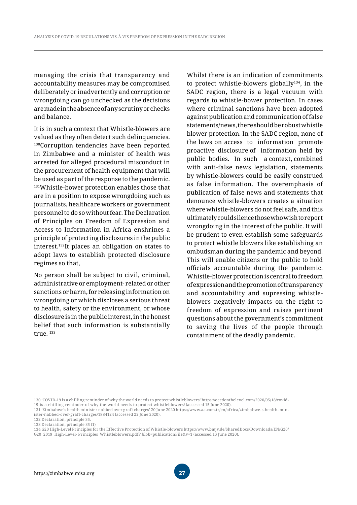managing the crisis that transparency and accountability measures may be compromised deliberately or inadvertently and corruption or wrongdoing can go unchecked as the decisions are made in the absence of any scrutiny or checks and balance.

It is in such a context that Whistle-blowers are valued as they often detect such delinquencies. <sup>130</sup>Corruption tendencies have been reported in Zimbabwe and a minister of health was arrested for alleged procedural misconduct in the procurement of health equipment that will be used as part of the response to the pandemic. 131Whistle-bower protection enables those that are in a position to expose wrongdoing such as journalists, healthcare workers or government personnel to do so without fear. The Declaration of Principles on Freedom of Expression and Access to Information in Africa enshrines a principle of protecting disclosures in the public interest.132It places an obligation on states to adopt laws to establish protected disclosure regimes so that,

No person shall be subject to civil, criminal, administrative or employment- related or other sanctions or harm, for releasing information on wrongdoing or which discloses a serious threat to health, safety or the environment, or whose disclosure is in the public interest, in the honest belief that such information is substantially true. 133

Whilst there is an indication of commitments to protect whistle-blowers globally<sup>134</sup>, in the SADC region, there is a legal vacuum with regards to whistle-bower protection. In cases where criminal sanctions have been adopted against publication and communication of false statements/news, there should be robust whistle blower protection. In the SADC region, none of the laws on access to information promote proactive disclosure of information held by public bodies. In such a context, combined with anti-false news legislation, statements by whistle-blowers could be easily construed as false information. The overemphasis of publication of false news and statements that denounce whistle-blowers creates a situation where whistle-blowers do not feel safe, and this ultimately could silence those who wish to report wrongdoing in the interest of the public. It will be prudent to even establish some safeguards to protect whistle blowers like establishing an ombudsman during the pandemic and beyond. This will enable citizens or the public to hold officials accountable during the pandemic. Whistle-blower protection is central to freedom of expression and the promotion of transparency and accountability and supressing whistleblowers negatively impacts on the right to freedom of expression and raises pertinent questions about the government's commitment to saving the lives of the people through containment of the deadly pandemic.

<sup>130 &#</sup>x27;COVID-19 is a chilling reminder of why the world needs to protect whistleblowers' https://oecdonthelevel.com/2020/05/18/covid-19-is-a-chilling-reminder-of-why-the-world-needs-to-protect-whistleblowers/ (accessed 15 June 2020).

<sup>131 &#</sup>x27;Zimbabwe's health minister nabbed over graft charges' 20 June 2020 https://www.aa.com.tr/en/africa/zimbabwe-s-health- minister-nabbed-over-graft-charges/1884124 (accessed 22 June 2020).

<sup>132</sup> Declaration, principle 35.

<sup>133</sup> Declaration, principle 35 (1)

<sup>134</sup> G20 High-Level Principles for the Effective Protection of Whistle-blowers https://www.bmjv.de/SharedDocs/Downloads/EN/G20/ G20\_2019\_High-Level- Principles\_Whistleblowers.pdf? blob=publicationFile&v=1 (accessed 15 June 2020).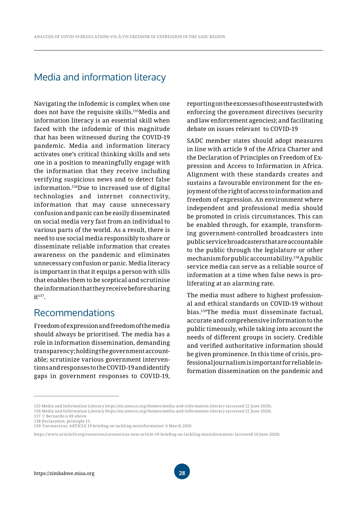# Media and information literacy

Navigating the infodemic is complex when one does not have the requisite skills.135Media and information literacy is an essential skill when faced with the infodemic of this magnitude that has been witnessed during the COVID-19 pandemic. Media and information literacy activates one's critical thinking skills and sets one in a position to meaningfully engage with the information that they receive including verifying suspicious news and to detect false information.136Due to increased use of digital technologies and internet connectivity, information that may cause unnecessary confusion and panic can be easily disseminated on social media very fast from an individual to various parts of the world. As a result, there is need to use social media responsibly to share or disseminate reliable information that creates awareness on the pandemic and eliminates unnecessary confusion or panic. Media literacy is important in that it equips a person with sills that enables them to be sceptical and scrutinise the information that they receive before sharing  $it<sup>137</sup>$ 

### Recommendations

Freedom of expression and freedom of the media should always be prioritised. The media has a role in information dissemination, demanding transparency; holding the government accountable; scrutinize various government interventions and responses to the COVID-19 and identify gaps in government responses to COVID-19, reporting on the excesses of those entrusted with enforcing the government directives (security and law enforcement agencies); and facilitating debate on issues relevant to COVID-19

SADC member states should adopt measures in line with article 9 of the Africa Charter and the Declaration of Principles on Freedom of Expression and Access to Information in Africa. Alignment with these standards creates and sustains a favourable environment for the enjoyment of the right of access to information and freedom of expression. An environment where independent and professional media should be promoted in crisis circumstances. This can be enabled through, for example, transforming government-controlled broadcasters into public service broadcasters that are accountable to the public through the legislature or other mechanism for public accountability.138A public service media can serve as a reliable source of information at a time when false news is proliferating at an alarming rate.

The media must adhere to highest professional and ethical standards on COVID-19 without bias.139The media must disseminate factual, accurate and comprehensive information to the public timeously, while taking into account the needs of different groups in society. Credible and verified authoritative information should be given prominence. In this time of crisis, professional journalism is important for reliable information dissemination on the pandemic and

<sup>135</sup> Media and Information Literacy https://en.unesco.org/themes/media-and-information-literacy (accessed 22 June 2020). 136 Media and Information Literacy https://en.unesco.org/themes/media-and-information-literacy (accessed 22 June 2020).

<sup>137</sup> C Bernardo n 69 above.

<sup>138</sup> Declaration, principle 11.

<sup>139</sup> 'Coronavirus: ARTICLE 19 briefing on tackling misinformation' 6 March 2020

https://www.article19.org/resources/coronavirus-new-article-19-briefing-on-tackling-misinformation/ (accessed 10 June 2020).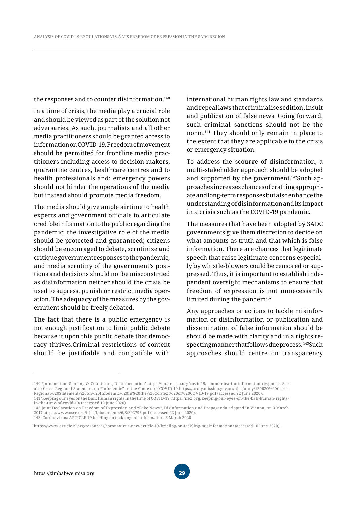the responses and to counter disinformation.140

In a time of crisis, the media play a crucial role and should be viewed as part of the solution not adversaries. As such, journalists and all other media practitioners should be granted access to information on COVID-19. Freedom of movement should be permitted for frontline media practitioners including access to decision makers, quarantine centres, healthcare centres and to health professionals and; emergency powers should not hinder the operations of the media but instead should promote media freedom.

The media should give ample airtime to health experts and government officials to articulate credible information to the public regarding the pandemic; the investigative role of the media should be protected and guaranteed; citizens should be encouraged to debate, scrutinize and critique government responses to the pandemic; and media scrutiny of the government's positions and decisions should not be misconstrued as disinformation neither should the crisis be used to supress, punish or restrict media operation. The adequacy of the measures by the government should be freely debated.

The fact that there is a public emergency is not enough justification to limit public debate because it upon this public debate that democracy thrives.Criminal restrictions of content should be justifiable and compatible with international human rights law and standards and repeal laws that criminalise sedition, insult and publication of false news. Going forward, such criminal sanctions should not be the norm.141 They should only remain in place to the extent that they are applicable to the crisis or emergency situation.

To address the scourge of disinformation, a multi-stakeholder approach should be adopted and supported by the government.142Such approaches increases chances of crafting appropriate and long-term responses but also enhance the understanding of disinformation and its impact in a crisis such as the COVID-19 pandemic.

The measures that have been adopted by SADC governments give them discretion to decide on what amounts as truth and that which is false information. There are chances that legitimate speech that raise legitimate concerns especially by whistle-blowers could be censored or suppressed. Thus, it is important to establish independent oversight mechanisms to ensure that freedom of expression is not unnecessarily limited during the pandemic

Any approaches or actions to tackle misinformation or disinformation or publication and dissemination of false information should be should be made with clarity and in a rights respecting manner that follows due process. 143Such approaches should centre on transparency

in-the-time-of-covid-19/ (accessed 10 June 2020).

<sup>140 &#</sup>x27;Information Sharing & Countering Disinformation' https://en.unesco.org/covid19/communicationinformationresponse. See also Cross-Regional Statement on "Infodemic" in the Context of COVID-19 https://unny.mission.gov.au/files/unny/120620%20Cross-Regional%20Statement%20on%20Infodemic%20in%20the%20Context%20of%20COVID-19.pdf (accessed 22 June 2020). 141 'Keeping our eyes on the ball: Human rights in the time of COVID-19' https://ifex.org/keeping-our-eyes-on-the-ball-human- rights-

<sup>142</sup> Joint Declaration on Freedom of Expression and "Fake News", Disinformation and Propaganda adopted in Vienna, on 3 March 2017 https://www.osce.org/files/f/documents/6/8/302796.pdf (accessed 22 June 2020). 143 'Coronavirus: ARTICLE 19 briefing on tackling misinformation' 6 March 2020

https://www.article19.org/resources/coronavirus-new-article-19-briefing-on-tackling-misinformation/ (accessed 10 June 2020).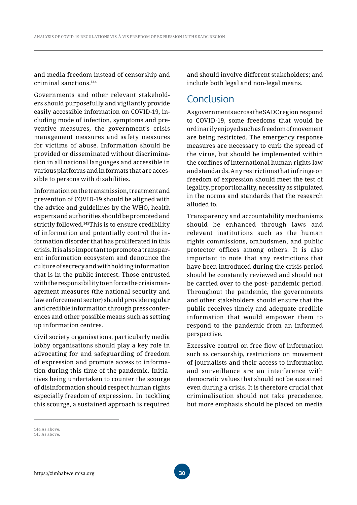and media freedom instead of censorship and criminal sanctions.144

Governments and other relevant stakeholders should purposefully and vigilantly provide easily accessible information on COVID-19, including mode of infection, symptoms and preventive measures, the government's crisis management measures and safety measures for victims of abuse. Information should be provided or disseminated without discrimination in all national languages and accessible in various platforms and in formats that are accessible to persons with disabilities.

Information on the transmission, treatment and prevention of COVID-19 should be aligned with the advice and guidelines by the WHO, health experts and authorities should be promoted and strictly followed.145This is to ensure credibility of information and potentially control the information disorder that has proliferated in this crisis. It is also important to promote a transparent information ecosystem and denounce the culture of secrecy and withholding information that is in the public interest. Those entrusted with the responsibility to enforce the crisis management measures (the national security and law enforcement sector) should provide regular and credible information through press conferences and other possible means such as setting up information centres.

Civil society organisations, particularly media lobby organisations should play a key role in advocating for and safeguarding of freedom of expression and promote access to information during this time of the pandemic. Initiatives being undertaken to counter the scourge of disinformation should respect human rights especially freedom of expression. In tackling this scourge, a sustained approach is required and should involve different stakeholders; and include both legal and non-legal means.

# Conclusion

As governments across the SADC region respond to COVID-19, some freedoms that would be ordinarily enjoyed such as freedom of movement are being restricted. The emergency response measures are necessary to curb the spread of the virus, but should be implemented within the confines of international human rights law and standards. Any restrictions that infringe on freedom of expression should meet the test of legality, proportionality, necessity as stipulated in the norms and standards that the research alluded to.

Transparency and accountability mechanisms should be enhanced through laws and relevant institutions such as the human rights commissions, ombudsmen, and public protector offices among others. It is also important to note that any restrictions that have been introduced during the crisis period should be constantly reviewed and should not be carried over to the post- pandemic period. Throughout the pandemic, the governments and other stakeholders should ensure that the public receives timely and adequate credible information that would empower them to respond to the pandemic from an informed perspective.

Excessive control on free flow of information such as censorship, restrictions on movement of journalists and their access to information and surveillance are an interference with democratic values that should not be sustained even during a crisis. It is therefore crucial that criminalisation should not take precedence, but more emphasis should be placed on media

<sup>144</sup> As above. 145 As above.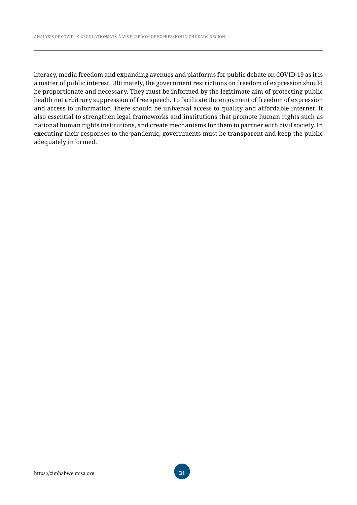literacy, media freedom and expanding avenues and platforms for public debate on COVID-19 as it is a matter of public interest. Ultimately, the government restrictions on freedom of expression should be proportionate and necessary. They must be informed by the legitimate aim of protecting public health not arbitrary suppression of free speech. To facilitate the enjoyment of freedom of expression and access to information, there should be universal access to quality and affordable internet. It also essential to strengthen legal frameworks and institutions that promote human rights such as national human rights institutions, and create mechanisms for them to partner with civil society. In executing their responses to the pandemic, governments must be transparent and keep the public adequately informed.